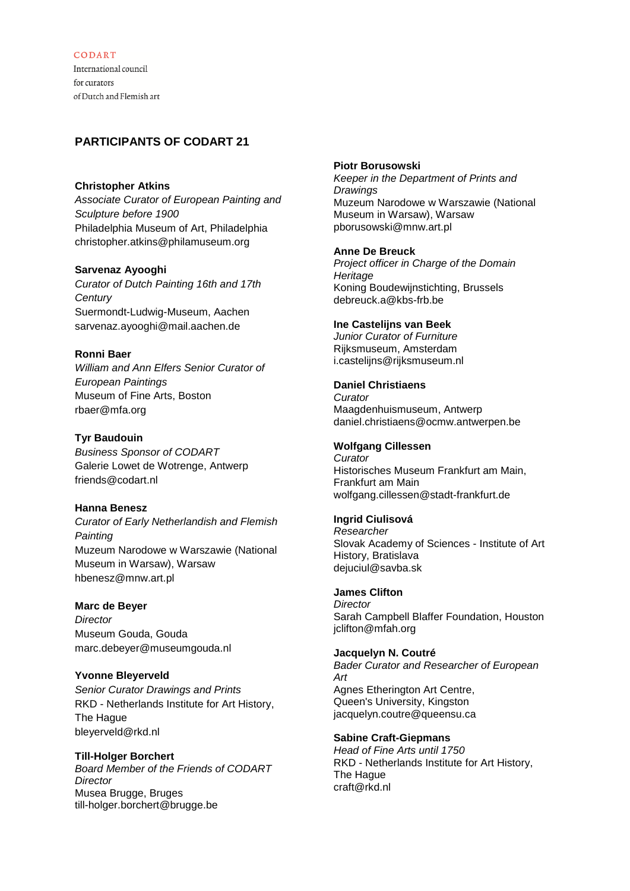### CODART

International council for curators of Dutch and Flemish art

# **PARTICIPANTS OF CODART 21**

#### **Christopher Atkins**

*Associate Curator of European Painting and Sculpture before 1900* Philadelphia Museum of Art, Philadelphia christopher.atkins@philamuseum.org

### **Sarvenaz Ayooghi**

*Curator of Dutch Painting 16th and 17th Century* Suermondt-Ludwig-Museum, Aachen sarvenaz.ayooghi@mail.aachen.de

### **Ronni Baer**

*William and Ann Elfers Senior Curator of European Paintings* Museum of Fine Arts, Boston rbaer@mfa.org

### **Tyr Baudouin**

*Business Sponsor of CODART* Galerie Lowet de Wotrenge, Antwerp friends@codart.nl

### **Hanna Benesz**

*Curator of Early Netherlandish and Flemish Painting* Muzeum Narodowe w Warszawie (National Museum in Warsaw), Warsaw hbenesz@mnw.art.pl

### **Marc de Beyer**

*Director* Museum Gouda, Gouda marc.debeyer@museumgouda.nl

### **Yvonne Bleyerveld**

*Senior Curator Drawings and Prints* RKD - Netherlands Institute for Art History, The Hague bleyerveld@rkd.nl

### **Till-Holger Borchert**

*Board Member of the Friends of CODART Director* Musea Brugge, Bruges till-holger.borchert@brugge.be

#### **Piotr Borusowski**

*Keeper in the Department of Prints and Drawings* Muzeum Narodowe w Warszawie (National Museum in Warsaw), Warsaw pborusowski@mnw.art.pl

#### **Anne De Breuck**

*Project officer in Charge of the Domain Heritage* Koning Boudewijnstichting, Brussels debreuck.a@kbs-frb.be

#### **Ine Castelijns van Beek**

*Junior Curator of Furniture* Rijksmuseum, Amsterdam i.castelijns@rijksmuseum.nl

#### **Daniel Christiaens**

*Curator* Maagdenhuismuseum, Antwerp daniel.christiaens@ocmw.antwerpen.be

### **Wolfgang Cillessen**

*Curator* Historisches Museum Frankfurt am Main, Frankfurt am Main wolfgang.cillessen@stadt-frankfurt.de

## **Ingrid Ciulisová**

*Researcher* Slovak Academy of Sciences - Institute of Art History, Bratislava dejuciul@savba.sk

#### **James Clifton**

*Director* Sarah Campbell Blaffer Foundation, Houston jclifton@mfah.org

#### **Jacquelyn N. Coutré**

*Bader Curator and Researcher of European Art* Agnes Etherington Art Centre, Queen's University, Kingston jacquelyn.coutre@queensu.ca

#### **Sabine Craft-Giepmans**

*Head of Fine Arts until 1750* RKD - Netherlands Institute for Art History, The Hague craft@rkd.nl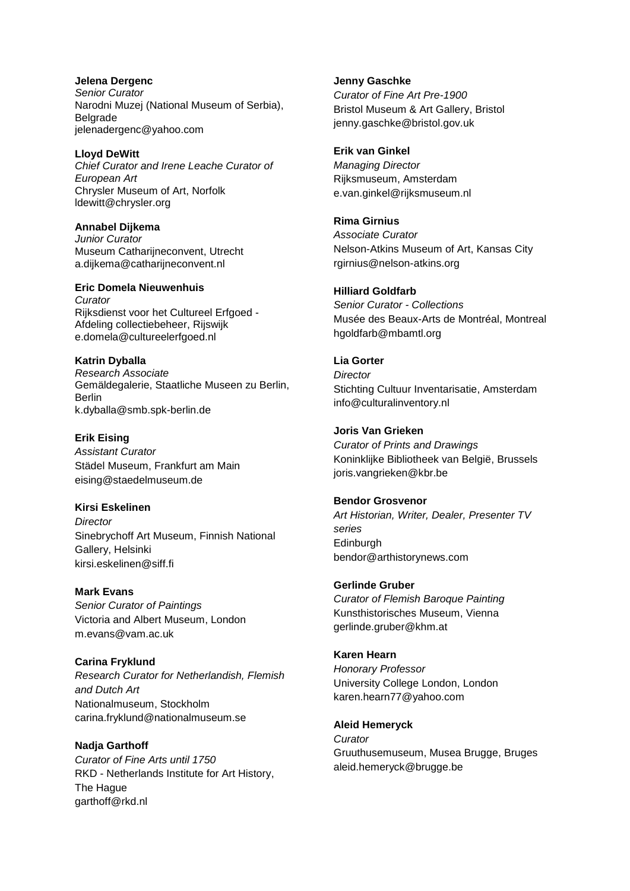**Jelena Dergenc** *Senior Curator* Narodni Muzej (National Museum of Serbia), Belgrade jelenadergenc@yahoo.com

**Lloyd DeWitt** *Chief Curator and Irene Leache Curator of European Art* Chrysler Museum of Art, Norfolk ldewitt@chrysler.org

**Annabel Dijkema** *Junior Curator* Museum Catharijneconvent, Utrecht a.dijkema@catharijneconvent.nl

#### **Eric Domela Nieuwenhuis**

*Curator* Rijksdienst voor het Cultureel Erfgoed - Afdeling collectiebeheer, Rijswijk e.domela@cultureelerfgoed.nl

**Katrin Dyballa** *Research Associate* Gemäldegalerie, Staatliche Museen zu Berlin, Berlin k.dyballa@smb.spk-berlin.de

**Erik Eising**

*Assistant Curator* Städel Museum, Frankfurt am Main eising@staedelmuseum.de

**Kirsi Eskelinen**

*Director* Sinebrychoff Art Museum, Finnish National Gallery, Helsinki kirsi.eskelinen@siff.fi

**Mark Evans** *Senior Curator of Paintings* Victoria and Albert Museum, London m.evans@vam.ac.uk

**Carina Fryklund** *Research Curator for Netherlandish, Flemish and Dutch Art* Nationalmuseum, Stockholm carina.fryklund@nationalmuseum.se

**Nadja Garthoff** *Curator of Fine Arts until 1750* RKD - Netherlands Institute for Art History, The Hague garthoff@rkd.nl

**Jenny Gaschke** *Curator of Fine Art Pre-1900* Bristol Museum & Art Gallery, Bristol jenny.gaschke@bristol.gov.uk

**Erik van Ginkel** *Managing Director* Rijksmuseum, Amsterdam e.van.ginkel@rijksmuseum.nl

**Rima Girnius** *Associate Curator* Nelson-Atkins Museum of Art, Kansas City rgirnius@nelson-atkins.org

**Hilliard Goldfarb**

*Senior Curator - Collections* Musée des Beaux-Arts de Montréal, Montreal hgoldfarb@mbamtl.org

**Lia Gorter** *Director*

Stichting Cultuur Inventarisatie, Amsterdam info@culturalinventory.nl

**Joris Van Grieken** *Curator of Prints and Drawings* Koninklijke Bibliotheek van België, Brussels joris.vangrieken@kbr.be

**Bendor Grosvenor** *Art Historian, Writer, Dealer, Presenter TV series* Edinburgh bendor@arthistorynews.com

**Gerlinde Gruber** *Curator of Flemish Baroque Painting* Kunsthistorisches Museum, Vienna gerlinde.gruber@khm.at

**Karen Hearn** *Honorary Professor* University College London, London karen.hearn77@yahoo.com

**Aleid Hemeryck** *Curator* Gruuthusemuseum, Musea Brugge, Bruges aleid.hemeryck@brugge.be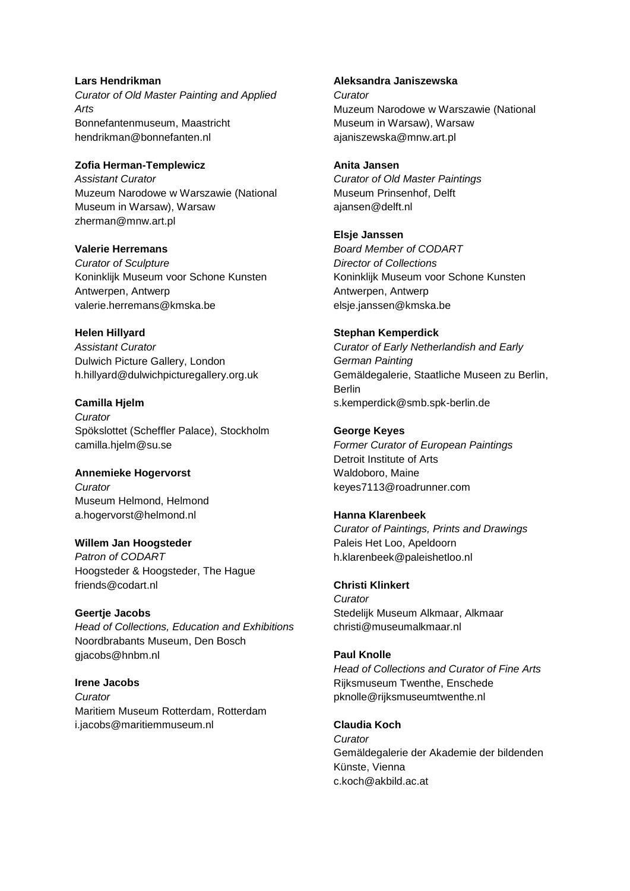## **Lars Hendrikman** *Curator of Old Master Painting and Applied Arts* Bonnefantenmuseum, Maastricht hendrikman@bonnefanten.nl

**Zofia Herman-Templewicz** *Assistant Curator* Muzeum Narodowe w Warszawie (National Museum in Warsaw), Warsaw zherman@mnw.art.pl

### **Valerie Herremans** *Curator of Sculpture* Koninklijk Museum voor Schone Kunsten Antwerpen, Antwerp valerie.herremans@kmska.be

**Helen Hillyard** *Assistant Curator* Dulwich Picture Gallery, London h.hillyard@dulwichpicturegallery.org.uk

**Camilla Hjelm** *Curator* Spökslottet (Scheffler Palace), Stockholm camilla.hjelm@su.se

**Annemieke Hogervorst** *Curator* Museum Helmond, Helmond a.hogervorst@helmond.nl

**Willem Jan Hoogsteder** *Patron of CODART* Hoogsteder & Hoogsteder, The Hague friends@codart.nl

**Geertje Jacobs** *Head of Collections, Education and Exhibitions* Noordbrabants Museum, Den Bosch giacobs@hnbm.nl

**Irene Jacobs** *Curator* Maritiem Museum Rotterdam, Rotterdam i.jacobs@maritiemmuseum.nl

**Aleksandra Janiszewska** *Curator* Muzeum Narodowe w Warszawie (National Museum in Warsaw), Warsaw ajaniszewska@mnw.art.pl

**Anita Jansen** *Curator of Old Master Paintings* Museum Prinsenhof, Delft ajansen@delft.nl

**Elsje Janssen** *Board Member of CODART Director of Collections* Koninklijk Museum voor Schone Kunsten Antwerpen, Antwerp elsje.janssen@kmska.be

**Stephan Kemperdick** *Curator of Early Netherlandish and Early German Painting* Gemäldegalerie, Staatliche Museen zu Berlin, Berlin s.kemperdick@smb.spk-berlin.de

**George Keyes** *Former Curator of European Paintings* Detroit Institute of Arts Waldoboro, Maine keyes7113@roadrunner.com

**Hanna Klarenbeek** *Curator of Paintings, Prints and Drawings* Paleis Het Loo, Apeldoorn h.klarenbeek@paleishetloo.nl

**Christi Klinkert** *Curator* Stedelijk Museum Alkmaar, Alkmaar christi@museumalkmaar.nl

**Paul Knolle** *Head of Collections and Curator of Fine Arts* Rijksmuseum Twenthe, Enschede pknolle@rijksmuseumtwenthe.nl

**Claudia Koch** *Curator* Gemäldegalerie der Akademie der bildenden Künste, Vienna c.koch@akbild.ac.at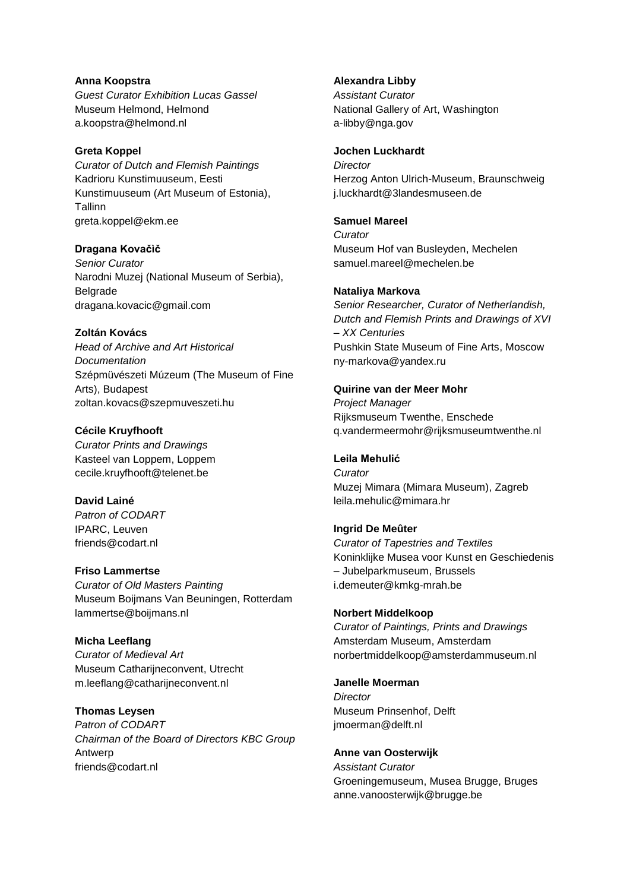**Anna Koopstra** *Guest Curator Exhibition Lucas Gassel* Museum Helmond, Helmond a.koopstra@helmond.nl

#### **Greta Koppel**

*Curator of Dutch and Flemish Paintings* Kadrioru Kunstimuuseum, Eesti Kunstimuuseum (Art Museum of Estonia), **Tallinn** greta.koppel@ekm.ee

#### **Dragana Kovačìč**

*Senior Curator* Narodni Muzej (National Museum of Serbia), Belgrade dragana.kovacic@gmail.com

#### **Zoltán Kovács**

*Head of Archive and Art Historical Documentation* Szépmüvészeti Múzeum (The Museum of Fine Arts), Budapest zoltan.kovacs@szepmuveszeti.hu

#### **Cécile Kruyfhooft**

*Curator Prints and Drawings* Kasteel van Loppem, Loppem cecile.kruyfhooft@telenet.be

### **David Lainé**

*Patron of CODART* IPARC, Leuven friends@codart.nl

#### **Friso Lammertse**

*Curator of Old Masters Painting* Museum Boijmans Van Beuningen, Rotterdam lammertse@boijmans.nl

### **Micha Leeflang**

*Curator of Medieval Art* Museum Catharijneconvent, Utrecht m.leeflang@catharijneconvent.nl

### **Thomas Leysen**

*Patron of CODART Chairman of the Board of Directors KBC Group* Antwerp friends@codart.nl

#### **Alexandra Libby**

*Assistant Curator* National Gallery of Art, Washington a-libby@nga.gov

### **Jochen Luckhardt**

*Director* Herzog Anton Ulrich-Museum, Braunschweig j.luckhardt@3landesmuseen.de

#### **Samuel Mareel**

*Curator* Museum Hof van Busleyden, Mechelen samuel.mareel@mechelen.be

#### **Nataliya Markova**

*Senior Researcher, Curator of Netherlandish, Dutch and Flemish Prints and Drawings of XVI – XX Centuries* Pushkin State Museum of Fine Arts, Moscow ny-markova@yandex.ru

#### **Quirine van der Meer Mohr**

*Project Manager* Rijksmuseum Twenthe, Enschede q.vandermeermohr@rijksmuseumtwenthe.nl

### **Leila Mehulić**

*Curator* Muzej Mimara (Mimara Museum), Zagreb leila.mehulic@mimara.hr

### **Ingrid De Meûter**

*Curator of Tapestries and Textiles* Koninklijke Musea voor Kunst en Geschiedenis – Jubelparkmuseum, Brussels i.demeuter@kmkg-mrah.be

#### **Norbert Middelkoop**

*Curator of Paintings, Prints and Drawings* Amsterdam Museum, Amsterdam norbertmiddelkoop@amsterdammuseum.nl

#### **Janelle Moerman**

*Director* Museum Prinsenhof, Delft jmoerman@delft.nl

#### **Anne van Oosterwijk**

*Assistant Curator* Groeningemuseum, Musea Brugge, Bruges anne.vanoosterwijk@brugge.be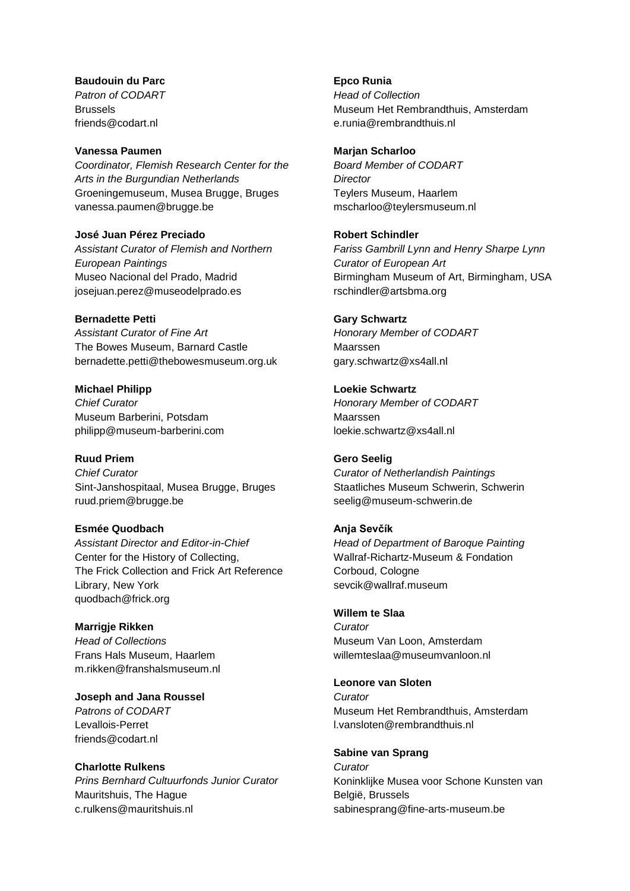#### **Baudouin du Parc** *Patron of CODART* Brussels friends@codart.nl

#### **Vanessa Paumen**

*Coordinator, Flemish Research Center for the Arts in the Burgundian Netherlands* Groeningemuseum, Musea Brugge, Bruges vanessa.paumen@brugge.be

**José Juan Pérez Preciado** *Assistant Curator of Flemish and Northern European Paintings* Museo Nacional del Prado, Madrid josejuan.perez@museodelprado.es

**Bernadette Petti**

*Assistant Curator of Fine Art* The Bowes Museum, Barnard Castle bernadette.petti@thebowesmuseum.org.uk

**Michael Philipp** *Chief Curator* Museum Barberini, Potsdam philipp@museum-barberini.com

# **Ruud Priem**

*Chief Curator* Sint-Janshospitaal, Musea Brugge, Bruges ruud.priem@brugge.be

### **Esmée Quodbach**

*Assistant Director and Editor-in-Chief* Center for the History of Collecting, The Frick Collection and Frick Art Reference Library, New York quodbach@frick.org

### **Marrigje Rikken**

*Head of Collections* Frans Hals Museum, Haarlem m.rikken@franshalsmuseum.nl

**Joseph and Jana Roussel**

*Patrons of CODART* Levallois-Perret friends@codart.nl

### **Charlotte Rulkens**

*Prins Bernhard Cultuurfonds Junior Curator* Mauritshuis, The Hague c.rulkens@mauritshuis.nl

**Epco Runia** *Head of Collection* Museum Het Rembrandthuis, Amsterdam e.runia@rembrandthuis.nl

#### **Marjan Scharloo**

*Board Member of CODART Director* Teylers Museum, Haarlem mscharloo@teylersmuseum.nl

### **Robert Schindler**

*Fariss Gambrill Lynn and Henry Sharpe Lynn Curator of European Art* Birmingham Museum of Art, Birmingham, USA rschindler@artsbma.org

#### **Gary Schwartz**

*Honorary Member of CODART* Maarssen gary.schwartz@xs4all.nl

**Loekie Schwartz** *Honorary Member of CODART* Maarssen loekie.schwartz@xs4all.nl

### **Gero Seelig**

*Curator of Netherlandish Paintings* Staatliches Museum Schwerin, Schwerin seelig@museum-schwerin.de

### **Anja Sevčík**

*Head of Department of Baroque Painting* Wallraf-Richartz-Museum & Fondation Corboud, Cologne sevcik@wallraf.museum

#### **Willem te Slaa**

*Curator* Museum Van Loon, Amsterdam willemteslaa@museumvanloon.nl

#### **Leonore van Sloten**

*Curator* Museum Het Rembrandthuis, Amsterdam l.vansloten@rembrandthuis.nl

#### **Sabine van Sprang**

*Curator* Koninklijke Musea voor Schone Kunsten van België, Brussels sabinesprang@fine-arts-museum.be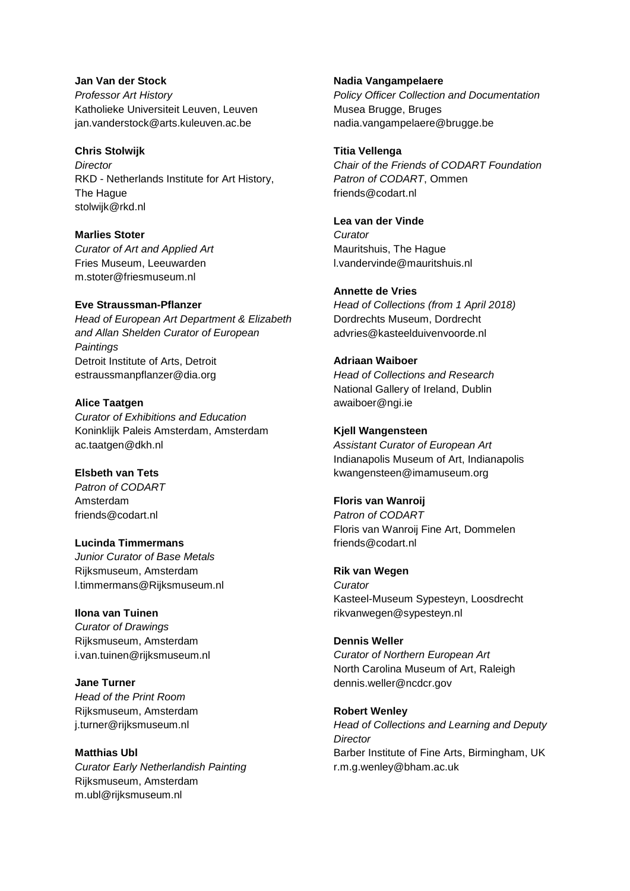#### **Jan Van der Stock**

*Professor Art History* Katholieke Universiteit Leuven, Leuven jan.vanderstock@arts.kuleuven.ac.be

#### **Chris Stolwijk**

*Director* RKD - Netherlands Institute for Art History, The Hague stolwijk@rkd.nl

## **Marlies Stoter**

*Curator of Art and Applied Art* Fries Museum, Leeuwarden m.stoter@friesmuseum.nl

### **Eve Straussman-Pflanzer**

*Head of European Art Department & Elizabeth and Allan Shelden Curator of European Paintings* Detroit Institute of Arts, Detroit estraussmanpflanzer@dia.org

## **Alice Taatgen**

*Curator of Exhibitions and Education* Koninklijk Paleis Amsterdam, Amsterdam ac.taatgen@dkh.nl

### **Elsbeth van Tets**

*Patron of CODART* Amsterdam friends@codart.nl

### **Lucinda Timmermans**

*Junior Curator of Base Metals* Rijksmuseum, Amsterdam l.timmermans@Rijksmuseum.nl

### **Ilona van Tuinen**

*Curator of Drawings* Rijksmuseum, Amsterdam i.van.tuinen@rijksmuseum.nl

**Jane Turner** *Head of the Print Room* Rijksmuseum, Amsterdam j.turner@rijksmuseum.nl

## **Matthias Ubl**

*Curator Early Netherlandish Painting* Rijksmuseum, Amsterdam m.ubl@rijksmuseum.nl

#### **Nadia Vangampelaere**

*Policy Officer Collection and Documentation* Musea Brugge, Bruges nadia.vangampelaere@brugge.be

### **Titia Vellenga**

*Chair of the Friends of CODART Foundation Patron of CODART*, Ommen friends@codart.nl

## **Lea van der Vinde**

*Curator* Mauritshuis, The Hague l.vandervinde@mauritshuis.nl

## **Annette de Vries**

*Head of Collections (from 1 April 2018)* Dordrechts Museum, Dordrecht advries@kasteelduivenvoorde.nl

## **Adriaan Waiboer**

*Head of Collections and Research* National Gallery of Ireland, Dublin awaiboer@ngi.ie

## **Kjell Wangensteen**

*Assistant Curator of European Art* Indianapolis Museum of Art, Indianapolis kwangensteen@imamuseum.org

### **Floris van Wanroij**

*Patron of CODART* Floris van Wanroij Fine Art, Dommelen friends@codart.nl

### **Rik van Wegen**

*Curator* Kasteel-Museum Sypesteyn, Loosdrecht rikvanwegen@sypesteyn.nl

### **Dennis Weller**

*Curator of Northern European Art* North Carolina Museum of Art, Raleigh dennis.weller@ncdcr.gov

## **Robert Wenley** *Head of Collections and Learning and Deputy Director*

Barber Institute of Fine Arts, Birmingham, UK r.m.g.wenley@bham.ac.uk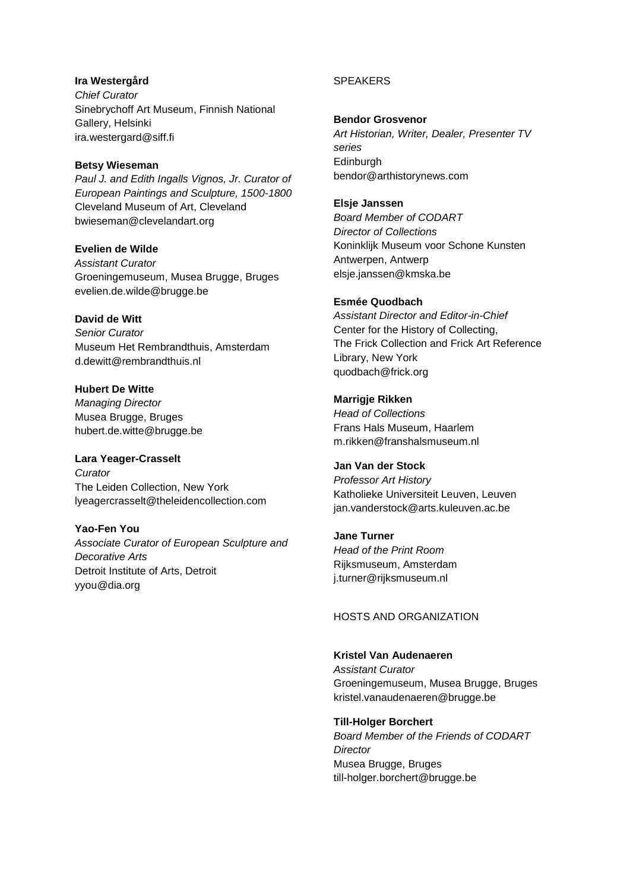## **Ira Westergård** *Chief Curator* Sinebrychoff Art Museum, Finnish National Gallery, Helsinki ira.westergard@siff.fi

#### **Betsy Wieseman**

*Paul J. and Edith Ingalls Vignos, Jr. Curator of European Paintings and Sculpture, 1500-1800* Cleveland Museum of Art, Cleveland bwieseman@clevelandart.org

## **Evelien de Wilde**

*Assistant Curator* Groeningemuseum, Musea Brugge, Bruges evelien.de.wilde@brugge.be

## **David de Witt**

*Senior Curator* Museum Het Rembrandthuis, Amsterdam d.dewitt@rembrandthuis.nl

## **Hubert De Witte** *Managing Director*

Musea Brugge, Bruges hubert.de.witte@brugge.be

# **Lara Yeager-Crasselt**

*Curator* The Leiden Collection, New York lyeagercrasselt@theleidencollection.com

# **Yao-Fen You**

*Associate Curator of European Sculpture and Decorative Arts* Detroit Institute of Arts, Detroit yyou@dia.org

## **SPEAKERS**

## **Bendor Grosvenor**

*Art Historian, Writer, Dealer, Presenter TV series* Edinburgh bendor@arthistorynews.com

### **Elsje Janssen**

*Board Member of CODART Director of Collections* Koninklijk Museum voor Schone Kunsten Antwerpen, Antwerp elsje.janssen@kmska.be

## **Esmée Quodbach**

*Assistant Director and Editor-in-Chief* Center for the History of Collecting, The Frick Collection and Frick Art Reference Library, New York quodbach@frick.org

## **Marrigje Rikken**

*Head of Collections* Frans Hals Museum, Haarlem m.rikken@franshalsmuseum.nl

## **Jan Van der Stock**

*Professor Art History* Katholieke Universiteit Leuven, Leuven jan.vanderstock@arts.kuleuven.ac.be

## **Jane Turner**

*Head of the Print Room* Rijksmuseum, Amsterdam j.turner@rijksmuseum.nl

### HOSTS AND ORGANIZATION

### **Kristel Van Audenaeren**

*Assistant Curator* Groeningemuseum, Musea Brugge, Bruges kristel.vanaudenaeren@brugge.be

### **Till-Holger Borchert**

*Board Member of the Friends of CODART Director* Musea Brugge, Bruges till-holger.borchert@brugge.be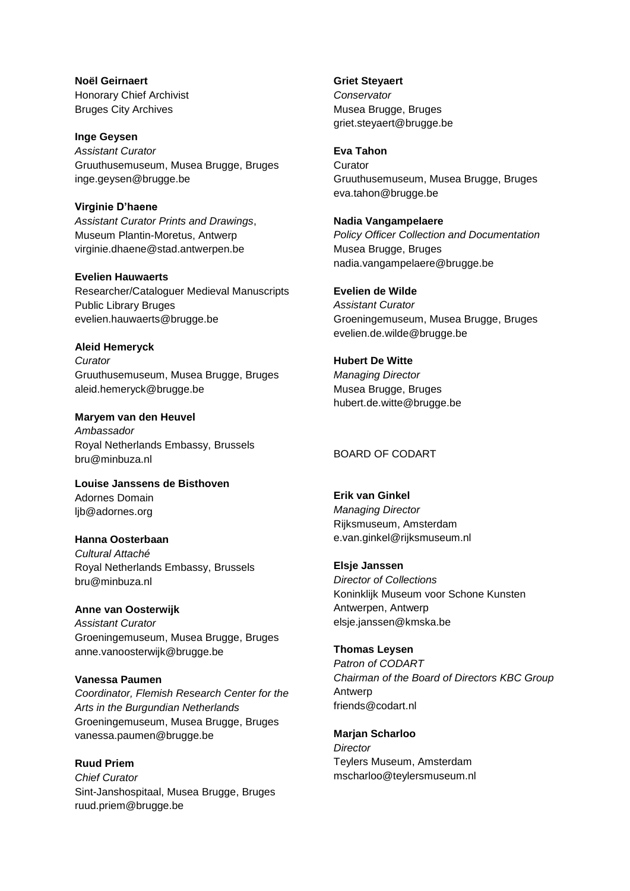**Noël Geirnaert** Honorary Chief Archivist Bruges City Archives

**Inge Geysen** *Assistant Curator* Gruuthusemuseum, Musea Brugge, Bruges inge.geysen@brugge.be

**Virginie D'haene** *Assistant Curator Prints and Drawings*, Museum Plantin-Moretus, Antwerp virginie.dhaene@stad.antwerpen.be

### **Evelien Hauwaerts** Researcher/Cataloguer Medieval Manuscripts Public Library Bruges evelien.hauwaerts@brugge.be

## **Aleid Hemeryck**

*Curator* Gruuthusemuseum, Musea Brugge, Bruges aleid.hemeryck@brugge.be

**Maryem van den Heuvel** *Ambassador* Royal Netherlands Embassy, Brussels bru@minbuza.nl

**Louise Janssens de Bisthoven** Adornes Domain ljb@adornes.org

**Hanna Oosterbaan** *Cultural Attaché* Royal Netherlands Embassy, Brussels bru@minbuza.nl

**Anne van Oosterwijk** *Assistant Curator* Groeningemuseum, Musea Brugge, Bruges anne.vanoosterwijk@brugge.be

### **Vanessa Paumen**

*Coordinator, Flemish Research Center for the Arts in the Burgundian Netherlands* Groeningemuseum, Musea Brugge, Bruges vanessa.paumen@brugge.be

**Ruud Priem** *Chief Curator* Sint-Janshospitaal, Musea Brugge, Bruges ruud.priem@brugge.be

**Griet Steyaert** *Conservator* Musea Brugge, Bruges griet.steyaert@brugge.be

#### **Eva Tahon**

**Curator** Gruuthusemuseum, Musea Brugge, Bruges eva.tahon@brugge.be

**Nadia Vangampelaere** *Policy Officer Collection and Documentation* Musea Brugge, Bruges nadia.vangampelaere@brugge.be

**Evelien de Wilde** *Assistant Curator* Groeningemuseum, Musea Brugge, Bruges evelien.de.wilde@brugge.be

**Hubert De Witte** *Managing Director* Musea Brugge, Bruges hubert.de.witte@brugge.be

BOARD OF CODART

**Erik van Ginkel** *Managing Director* Rijksmuseum, Amsterdam e.van.ginkel@rijksmuseum.nl

**Elsje Janssen** *Director of Collections* Koninklijk Museum voor Schone Kunsten Antwerpen, Antwerp elsje.janssen@kmska.be

**Thomas Leysen** *Patron of CODART Chairman of the Board of Directors KBC Group* Antwerp friends@codart.nl

**Marjan Scharloo** *Director* Teylers Museum, Amsterdam mscharloo@teylersmuseum.nl